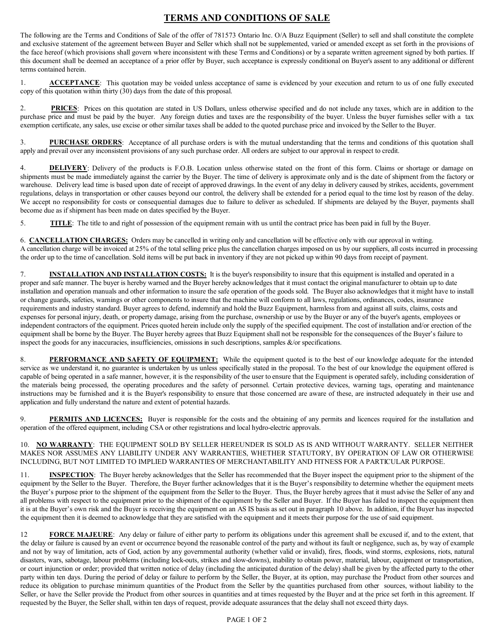## **TERMS AND CONDITIONS OF SALE**

The following are the Terms and Conditions of Sale of the offer of 781573 Ontario Inc. O/A Buzz Equipment (Seller) to sell and shall constitute the complete and exclusive statement of the agreement between Buyer and Seller which shall not be supplemented, varied or amended except as set forth in the provisions of the face hereof (which provisions shall govern where inconsistent with these Terms and Conditions) or by a separate written agreement signed by both parties. If this document shall be deemed an acceptance of a prior offer by Buyer, such acceptance is expressly conditional on Buyer's assent to any additional or different terms contained herein.

1. **ACCEPTANCE**: This quotation may be voided unless acceptance of same is evidenced by your execution and return to us of one fully executed copy of this quotation within thirty (30) days from the date of this proposal.

2. **PRICES**: Prices on this quotation are stated in US Dollars, unless otherwise specified and do not include any taxes, which are in addition to the purchase price and must be paid by the buyer. Any foreign duties and taxes are the responsibility of the buyer. Unless the buyer furnishes seller with a tax exemption certificate, any sales, use excise or other similar taxes shall be added to the quoted purchase price and invoiced by the Seller to the Buyer.

3. **PURCHASE ORDERS**: Acceptance of all purchase orders is with the mutual understanding that the terms and conditions of this quotation shall apply and prevail over any inconsistent provisions of any such purchase order. All orders are subject to our approval in respect to credit.

4. **DELIVERY**: Delivery of the products is F.O.B. Location unless otherwise stated on the front of this form. Claims or shortage or damage on shipments must be made immediately against the carrier by the Buyer. The time of delivery is approximate only and is the date of shipment from the factory or warehouse. Delivery lead time is based upon date of receipt of approved drawings. In the event of any delay in delivery caused by strikes, accidents, government regulations, delays in transportation or other causes beyond our control, the delivery shall be extended for a period equal to the time lost by reason of the delay. We accept no responsibility for costs or consequential damages due to failure to deliver as scheduled. If shipments are delayed by the Buyer, payments shall become due as if shipment has been made on dates specified by the Buyer.

5. **TITLE**: The title to and right of possession of the equipment remain with us until the contract price has been paid in full by the Buyer.

6. **CANCELLATION CHARGES:** Orders may be cancelled in writing only and cancellation will be effective only with our approval in writing. A cancellation charge will be invoiced at 25% of the total selling price plus the cancellation charges imposed on us by our suppliers, all costs incurred in processing the order up to the time of cancellation. Sold items will be put back in inventory if they are not picked up within 90 days from receipt of payment.

7. **INSTALLATION AND INSTALLATION COSTS:** It is the buyer's responsibility to insure that this equipment is installed and operated in a proper and safe manner. The buyer is hereby warned and the Buyer hereby acknowledges that it must contact the original manufacturer to obtain up to date installation and operation manuals and other information to insure the safe operation of the goods sold. The Buyer also acknowledges that it might have to install or change guards, safeties, warnings or other components to insure that the machine will conform to all laws, regulations, ordinances, codes, insurance requirements and industry standard. Buyer agrees to defend, indemnify and hold the Buzz Equipment, harmless from and against all suits, claims, costs and expenses for personal injury, death, or property damage, arising from the purchase, ownership or use by the Buyer or any of the buyer's agents, employees or independent contractors of the equipment. Prices quoted herein include only the supply of the specified equipment. The cost of installation and/or erection of the equipment shall be borne by the Buyer. The Buyer hereby agrees that Buzz Equipment shall not be responsible for the consequences of the Buyer's failure to inspect the goods for any inaccuracies, insufficiencies, omissions in such descriptions, samples &/or specifications.

8. **PERFORMANCE AND SAFETY OF EQUIPMENT:** While the equipment quoted is to the best of our knowledge adequate for the intended service as we understand it, no guarantee is undertaken by us unless specifically stated in the proposal. To the best of our knowledge the equipment offered is capable of being operated in a safe manner, however, it is the responsibility of the user to ensure that the Equipment is operated safely, including consideration of the materials being processed, the operating procedures and the safety of personnel. Certain protective devices, warning tags, operating and maintenance instructions may be furnished and it is the Buyer's responsibility to ensure that those concerned are aware of these, are instructed adequately in their use and application and fully understand the nature and extent of potential hazards.

9. **PERMITS AND LICENCES:** Buyer is responsible for the costs and the obtaining of any permits and licences required for the installation and operation of the offered equipment, including CSA or other registrations and local hydro-electric approvals.

## 10. **NO WARRANTY**: THE EQUIPMENT SOLD BY SELLER HEREUNDER IS SOLD AS IS AND WITHOUT WARRANTY. SELLER NEITHER MAKES NOR ASSUMES ANY LIABILITY UNDER ANY WARRANTIES, WHETHER STATUTORY, BY OPERATION OF LAW OR OTHERWISE INCLUDING, BUT NOT LIMITED TO IMPLIED WARRANTIES OF MERCHANTABILITY AND FITNESS FOR A PARTICULAR PURPOSE.

11. **INSPECTION**: The Buyer hereby acknowledges that the Seller has recommended that the Buyer inspect the equipment prior to the shipment of the equipment by the Seller to the Buyer. Therefore, the Buyer further acknowledges that it is the Buyer's responsibility to determine whether the equipment meets the Buyer's purpose prior to the shipment of the equipment from the Seller to the Buyer. Thus, the Buyer hereby agrees that it must advise the Seller of any and all problems with respect to the equipment prior to the shipment of the equipment by the Seller and Buyer. If the Buyer has failed to inspect the equipment then it is at the Buyer's own risk and the Buyer is receiving the equipment on an AS IS basis as set out in paragraph 10 above. In addition, if the Buyer has inspected the equipment then it is deemed to acknowledge that they are satisfied with the equipment and it meets their purpose for the use of said equipment.

12 **FORCE MAJEURE**: Any delay or failure of either party to perform its obligations under this agreement shall be excused if, and to the extent, that the delay or failure is caused by an event or occurrence beyond the reasonable control of the party and without its fault or negligence, such as, by way of example and not by way of limitation, acts of God, action by any governmental authority (whether valid or invalid), fires, floods, wind storms, explosions, riots, natural disasters, wars, sabotage, labour problems (including lock-outs, strikes and slow-downs), inability to obtain power, material, labour, equipment or transportation, or court injunction or order; provided that written notice of delay (including the anticipated duration of the delay) shall be given by the affected party to the other party within ten days. During the period of delay or failure to perform by the Seller, the Buyer, at its option, may purchase the Product from other sources and reduce its obligation to purchase minimum quantities of the Product from the Seller by the quantities purchased from other sources, without liability to the Seller, or have the Seller provide the Product from other sources in quantities and at times requested by the Buyer and at the price set forth in this agreement. If requested by the Buyer, the Seller shall, within ten days of request, provide adequate assurances that the delay shall not exceed thirty days.